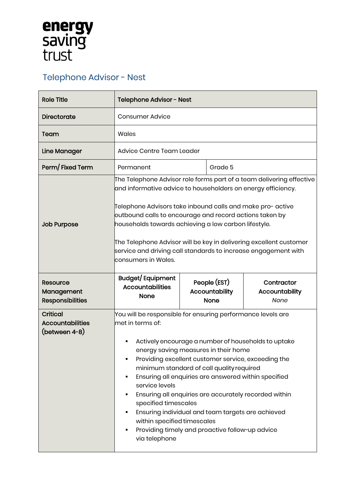## **energy<br>saving<br>trust**

## Telephone Advisor - Nest

| <b>Role Title</b>                                           | Telephone Advisor - Nest                                                                                                                                                                                                                                                                                                                                                                                                                                                                                                                                                                                              |  |                                               |                                             |
|-------------------------------------------------------------|-----------------------------------------------------------------------------------------------------------------------------------------------------------------------------------------------------------------------------------------------------------------------------------------------------------------------------------------------------------------------------------------------------------------------------------------------------------------------------------------------------------------------------------------------------------------------------------------------------------------------|--|-----------------------------------------------|---------------------------------------------|
| <b>Directorate</b>                                          | <b>Consumer Advice</b>                                                                                                                                                                                                                                                                                                                                                                                                                                                                                                                                                                                                |  |                                               |                                             |
| Team                                                        | Wales                                                                                                                                                                                                                                                                                                                                                                                                                                                                                                                                                                                                                 |  |                                               |                                             |
| Line Manager                                                | Advice Centre Team Leader                                                                                                                                                                                                                                                                                                                                                                                                                                                                                                                                                                                             |  |                                               |                                             |
| Perm/Fixed Term                                             | Permanent                                                                                                                                                                                                                                                                                                                                                                                                                                                                                                                                                                                                             |  | Grade 5                                       |                                             |
| <b>Job Purpose</b>                                          | The Telephone Advisor role forms part of a team delivering effective $\overline{\phantom{a}}$<br>and informative advice to householders on energy efficiency.<br>Telephone Advisors take inbound calls and make pro- active<br>outbound calls to encourage and record actions taken by<br>households towards achieving a low carbon lifestyle.<br>The Telephone Advisor will be key in delivering excellent customer<br>service and driving call standards to increase engagement with<br>consumers in Wales.                                                                                                         |  |                                               |                                             |
| <b>Resource</b><br>Management<br><b>Responsibilities</b>    | Budget/Equipment<br><b>Accountabilities</b><br><b>None</b>                                                                                                                                                                                                                                                                                                                                                                                                                                                                                                                                                            |  | People (EST)<br>Accountability<br><b>None</b> | Contractor<br><b>Accountability</b><br>None |
| <b>Critical</b><br><b>Accountabilities</b><br>(between 4-8) | You will be responsible for ensuring performance levels are<br>lmet in terms of:<br>Actively encourage a number of households to uptake<br>energy saving measures in their home<br>Providing excellent customer service, exceeding the<br>٠<br>minimum standard of call quality required<br>Ensuring all enquiries are answered within specified<br>٠<br>service levels<br>Ensuring all enquiries are accurately recorded within<br>specified timescales<br>Ensuring individual and team targets are achieved<br>٠<br>within specified timescales<br>Providing timely and proactive follow-up advice<br>via telephone |  |                                               |                                             |